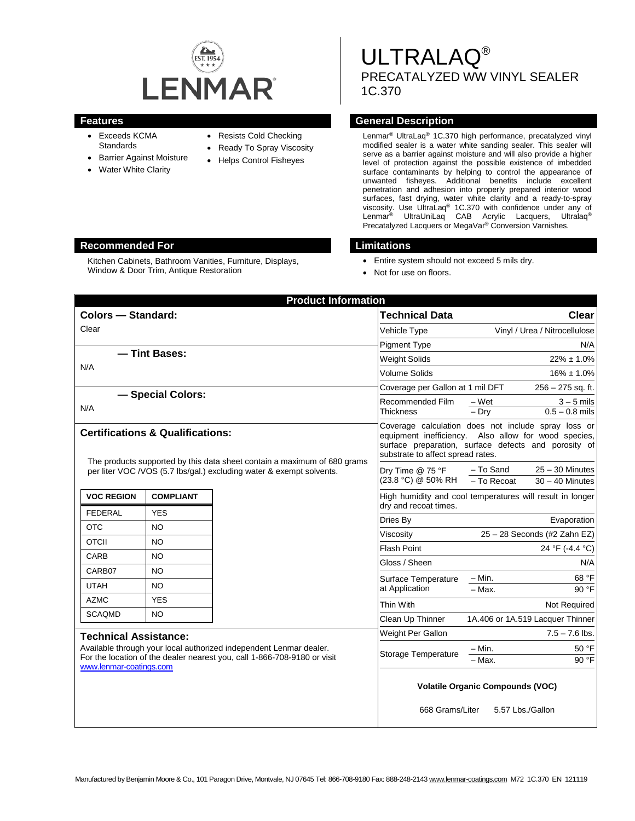

- Exceeds KCMA **Standards**
- Barrier Against Moisture
- Water White Clarity
- Resists Cold Checking
- Ready To Spray Viscosity
- Helps Control Fisheyes
- ULTRALAQ® PRECATALYZED WW VINYL SEALER 1C.370

# **Features General Description**

Lenmar® UltraLaq® 1C.370 high performance, precatalyzed vinyl modified sealer is a water white sanding sealer. This sealer will serve as a barrier against moisture and will also provide a higher level of protection against the possible existence of imbedded surface contaminants by helping to control the appearance of unwanted fisheyes. Additional benefits include excellent penetration and adhesion into properly prepared interior wood surfaces, fast drying, water white clarity and a ready-to-spray viscosity. Use UltraLaq® 1C.370 with confidence under any of Lenmar® UltraUniLaq CAB Acrylic Lacquers, Ultralaq® Precatalyzed Lacquers or MegaVar® Conversion Varnishes.

- Entire system should not exceed 5 mils dry.
- Not for use on floors.

| <b>Product Information</b>                                                                                                                                                                                |                  |  |                                                                                                                                                                                                          |                                                                      |
|-----------------------------------------------------------------------------------------------------------------------------------------------------------------------------------------------------------|------------------|--|----------------------------------------------------------------------------------------------------------------------------------------------------------------------------------------------------------|----------------------------------------------------------------------|
| <b>Colors - Standard:</b>                                                                                                                                                                                 |                  |  | <b>Technical Data</b>                                                                                                                                                                                    | Clear                                                                |
| Clear                                                                                                                                                                                                     |                  |  | Vehicle Type                                                                                                                                                                                             | Vinyl / Urea / Nitrocellulose                                        |
|                                                                                                                                                                                                           |                  |  | <b>Pigment Type</b>                                                                                                                                                                                      | N/A                                                                  |
| - Tint Bases:<br>N/A                                                                                                                                                                                      |                  |  | <b>Weight Solids</b>                                                                                                                                                                                     | $22\% \pm 1.0\%$                                                     |
|                                                                                                                                                                                                           |                  |  | <b>Volume Solids</b>                                                                                                                                                                                     | $16\% \pm 1.0\%$                                                     |
|                                                                                                                                                                                                           |                  |  | Coverage per Gallon at 1 mil DFT                                                                                                                                                                         | 256 - 275 sq. ft.                                                    |
| - Special Colors:<br>N/A                                                                                                                                                                                  |                  |  | Recommended Film<br><b>Thickness</b>                                                                                                                                                                     | $3 - 5$ mils<br>– Wet<br>$-\overline{Dry}$<br>$0.5 - 0.8$ mils       |
| <b>Certifications &amp; Qualifications:</b><br>The products supported by this data sheet contain a maximum of 680 grams                                                                                   |                  |  | Coverage calculation does not include spray loss or<br>equipment inefficiency. Also allow for wood species,<br>surface preparation, surface defects and porosity of<br>substrate to affect spread rates. |                                                                      |
| per liter VOC /VOS (5.7 lbs/gal.) excluding water & exempt solvents.                                                                                                                                      |                  |  | Dry Time @ 75 °F<br>(23.8 °C) @ 50% RH                                                                                                                                                                   | - To Sand<br>$25 - 30$ Minutes<br>$-$ To Recoat<br>$30 - 40$ Minutes |
| <b>VOC REGION</b>                                                                                                                                                                                         | <b>COMPLIANT</b> |  | dry and recoat times.                                                                                                                                                                                    | High humidity and cool temperatures will result in longer            |
| <b>FEDERAL</b>                                                                                                                                                                                            | <b>YES</b>       |  | Dries By                                                                                                                                                                                                 | Evaporation                                                          |
| <b>OTC</b>                                                                                                                                                                                                | NO               |  | Viscosity                                                                                                                                                                                                | 25 - 28 Seconds (#2 Zahn EZ)                                         |
| <b>OTCII</b>                                                                                                                                                                                              | NO               |  | <b>Flash Point</b>                                                                                                                                                                                       | 24 °F (-4.4 °C)                                                      |
| CARB                                                                                                                                                                                                      | NO               |  | Gloss / Sheen                                                                                                                                                                                            | N/A                                                                  |
| CARB07                                                                                                                                                                                                    | <b>NO</b>        |  | Surface Temperature                                                                                                                                                                                      | 68 °F<br>$- Min.$                                                    |
| <b>UTAH</b>                                                                                                                                                                                               | <b>NO</b>        |  | at Application                                                                                                                                                                                           | $-$ Max.<br>90 °F                                                    |
| <b>AZMC</b>                                                                                                                                                                                               | <b>YES</b>       |  | Thin With                                                                                                                                                                                                | Not Required                                                         |
| <b>SCAQMD</b>                                                                                                                                                                                             | NO.              |  | Clean Up Thinner                                                                                                                                                                                         | 1A.406 or 1A.519 Lacquer Thinner                                     |
| <b>Technical Assistance:</b><br>Available through your local authorized independent Lenmar dealer.<br>For the location of the dealer nearest you, call 1-866-708-9180 or visit<br>www.lenmar-coatings.com |                  |  | Weight Per Gallon                                                                                                                                                                                        | $7.5 - 7.6$ lbs.                                                     |
|                                                                                                                                                                                                           |                  |  | Storage Temperature                                                                                                                                                                                      | 50 °F<br>- Min.<br>$-$ Max.<br>90 °F                                 |
|                                                                                                                                                                                                           |                  |  | <b>Volatile Organic Compounds (VOC)</b>                                                                                                                                                                  |                                                                      |
|                                                                                                                                                                                                           |                  |  | 668 Grams/Liter<br>5.57 Lbs./Gallon                                                                                                                                                                      |                                                                      |

### **Recommended For Limitations**

Kitchen Cabinets, Bathroom Vanities, Furniture, Displays, Window & Door Trim, Antique Restoration